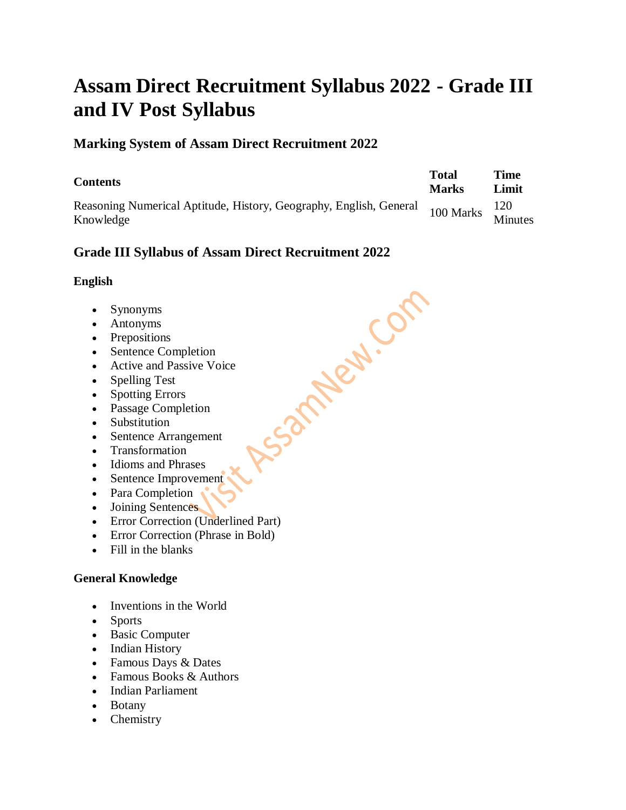# **Assam Direct Recruitment Syllabus 2022 - Grade III and IV Post Syllabus**

# **Marking System of Assam Direct Recruitment 2022**

| <b>Contents</b>                                                                 | <b>Total</b><br><b>Marks</b> | Time<br>Limit |
|---------------------------------------------------------------------------------|------------------------------|---------------|
| Reasoning Numerical Aptitude, History, Geography, English, General<br>Knowledge | $100$ Marks Minutes          |               |

Assampled.com

# **Grade III Syllabus of Assam Direct Recruitment 2022**

## **English**

- Synonyms
- Antonyms
- Prepositions
- Sentence Completion
- Active and Passive Voice
- Spelling Test
- Spotting Errors
- Passage Completion
- Substitution
- Sentence Arrangement
- Transformation
- Idioms and Phrases
- Sentence Improvement
- Para Completion
- Joining Sentences
- Error Correction (Underlined Part)
- Error Correction (Phrase in Bold)
- Fill in the blanks

# **General Knowledge**

- Inventions in the World
- Sports
- Basic Computer
- Indian History
- Famous Days & Dates
- Famous Books & Authors
- Indian Parliament
- Botany
- Chemistry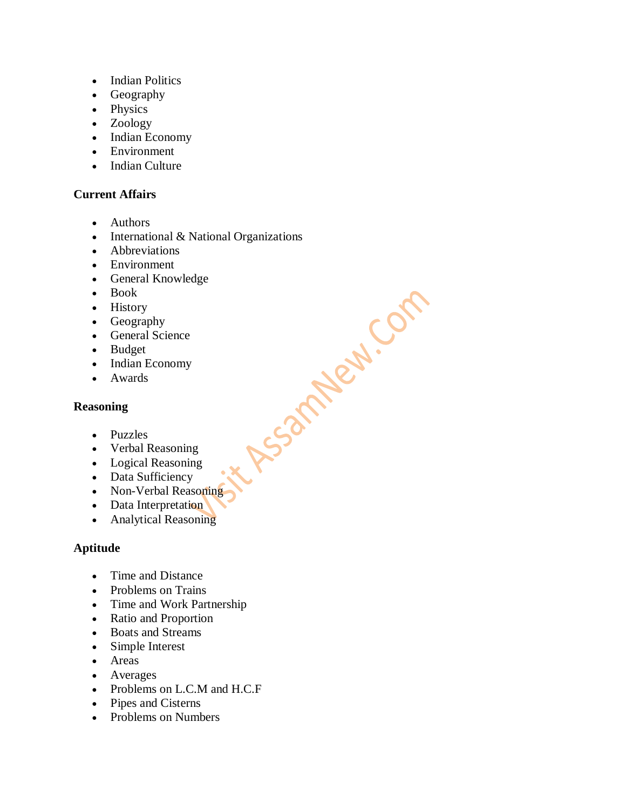- Indian Politics
- Geography
- Physics
- Zoology
- Indian Economy
- Environment
- Indian Culture

#### **Current Affairs**

- Authors
- $\bullet$  International & National Organizations

it Assampled.com

- Abbreviations
- Environment
- General Knowledge
- Book
- History
- Geography
- General Science
- Budget
- Indian Economy
- Awards

#### **Reasoning**

- Puzzles
- Verbal Reasoning
- Logical Reasoning
- Data Sufficiency
- Non-Verbal Reasoning
- Data Interpretation
- Analytical Reasoning

#### **Aptitude**

- Time and Distance
- Problems on Trains
- Time and Work Partnership
- Ratio and Proportion
- Boats and Streams
- Simple Interest
- Areas
- Averages
- Problems on L.C.M and H.C.F
- Pipes and Cisterns
- Problems on Numbers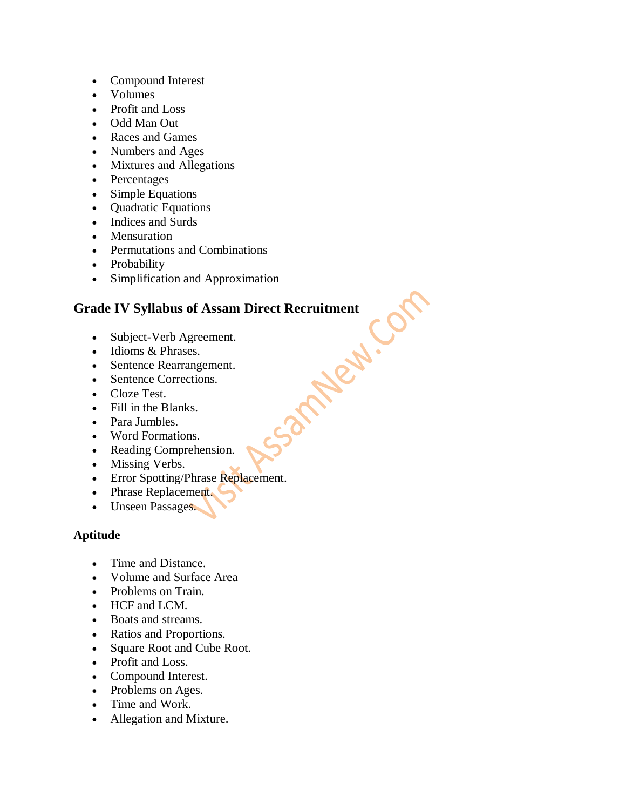- Compound Interest
- Volumes
- Profit and Loss
- Odd Man Out
- Races and Games
- Numbers and Ages
- Mixtures and Allegations
- Percentages
- Simple Equations
- Quadratic Equations
- Indices and Surds
- Mensuration
- Permutations and Combinations
- Probability
- Simplification and Approximation

# Grade IV Syllabus of Assam Direct Recruitment<br>
• Subject-Verb Agreement.<br>
• Idioms & Phrases.<br>
• Sentence Rearrangement.<br>
• Sentence Corrections.<br>
• Cloze Test.<br>
• Fill in the T

- Subject-Verb Agreement.
- Idioms & Phrases.
- Sentence Rearrangement.
- Sentence Corrections.
- Cloze Test.
- Fill in the Blanks.
- Para Jumbles.
- Word Formations.
- Reading Comprehension.
- Missing Verbs.
- Error Spotting/Phrase Replacement.
- Phrase Replacement.
- Unseen Passages.

## **Aptitude**

- Time and Distance.
- Volume and Surface Area
- Problems on Train.
- HCF and LCM.
- Boats and streams.
- Ratios and Proportions.
- Square Root and Cube Root.
- Profit and Loss.
- Compound Interest.
- Problems on Ages.
- Time and Work.
- Allegation and Mixture.